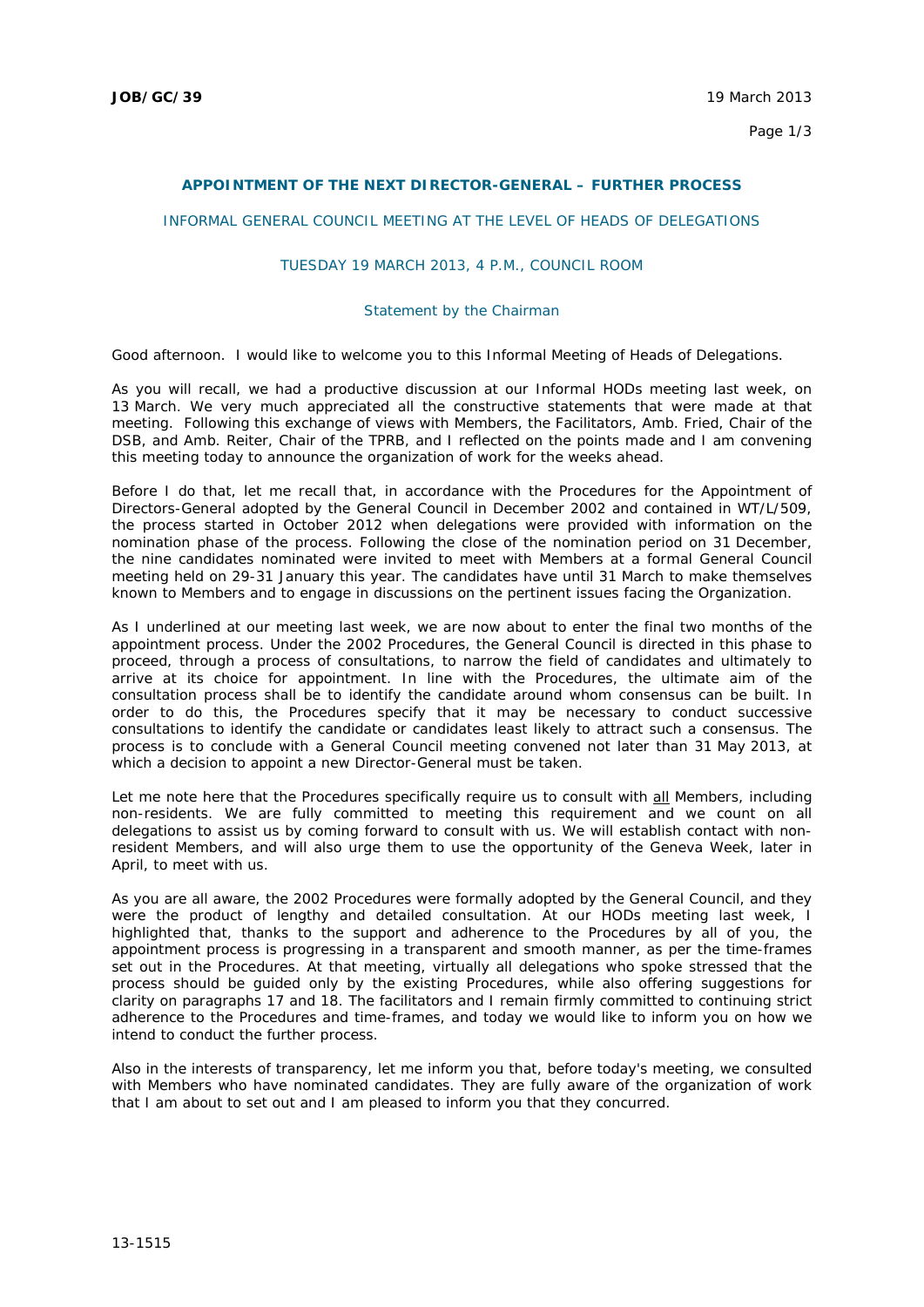## **APPOINTMENT OF THE NEXT DIRECTOR-GENERAL – FURTHER PROCESS**

## INFORMAL GENERAL COUNCIL MEETING AT THE LEVEL OF HEADS OF DELEGATIONS

## TUESDAY 19 MARCH 2013, 4 P.M., COUNCIL ROOM

## *Statement by the Chairman*

Good afternoon. I would like to welcome you to this Informal Meeting of Heads of Delegations.

As you will recall, we had a productive discussion at our Informal HODs meeting last week, on 13 March. We very much appreciated all the constructive statements that were made at that meeting. Following this exchange of views with Members, the Facilitators, Amb. Fried, Chair of the DSB, and Amb. Reiter, Chair of the TPRB, and I reflected on the points made and I am convening this meeting today to announce the organization of work for the weeks ahead.

Before I do that, let me recall that, in accordance with the Procedures for the Appointment of Directors-General adopted by the General Council in December 2002 and contained in WT/L/509, the process started in October 2012 when delegations were provided with information on the nomination phase of the process. Following the close of the nomination period on 31 December, the nine candidates nominated were invited to meet with Members at a formal General Council meeting held on 29-31 January this year. The candidates have until 31 March to make themselves known to Members and to engage in discussions on the pertinent issues facing the Organization.

As I underlined at our meeting last week, we are now about to enter the final two months of the appointment process. Under the 2002 Procedures, the General Council is directed in this phase to proceed, through a process of consultations, to narrow the field of candidates and ultimately to arrive at its choice for appointment. In line with the Procedures, the ultimate aim of the consultation process shall be to identify the candidate around whom consensus can be built. In order to do this, the Procedures specify that it may be necessary to conduct successive consultations to identify the candidate or candidates least likely to attract such a consensus. The process is to conclude with a General Council meeting convened not later than 31 May 2013, at which a decision to appoint a new Director-General must be taken.

Let me note here that the Procedures specifically require us to consult with all Members, including non-residents. We are fully committed to meeting this requirement and we count on all delegations to assist us by coming forward to consult with us. We will establish contact with nonresident Members, and will also urge them to use the opportunity of the Geneva Week, later in April, to meet with us.

As you are all aware, the 2002 Procedures were formally adopted by the General Council, and they were the product of lengthy and detailed consultation. At our HODs meeting last week, I highlighted that, thanks to the support and adherence to the Procedures by all of you, the appointment process is progressing in a transparent and smooth manner, as per the time-frames set out in the Procedures. At that meeting, virtually all delegations who spoke stressed that the process should be guided only by the existing Procedures, while also offering suggestions for clarity on paragraphs 17 and 18. The facilitators and I remain firmly committed to continuing strict adherence to the Procedures and time-frames, and today we would like to inform you on how we intend to conduct the further process.

Also in the interests of transparency, let me inform you that, before today's meeting, we consulted with Members who have nominated candidates. They are fully aware of the organization of work that I am about to set out and I am pleased to inform you that they concurred.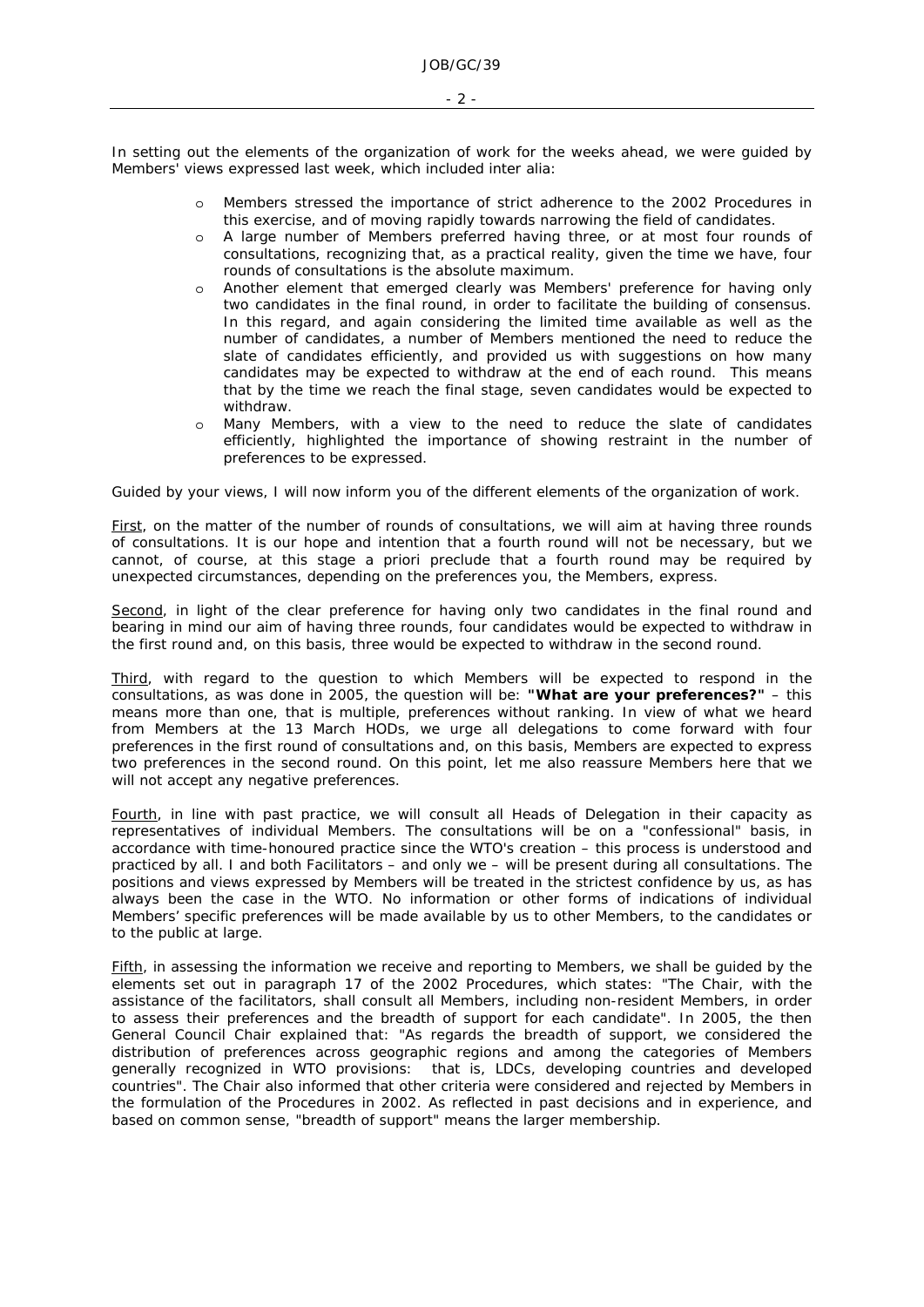In setting out the elements of the organization of work for the weeks ahead, we were guided by Members' views expressed last week, which included *inter alia:* 

- o Members stressed the importance of strict adherence to the 2002 Procedures in this exercise, and of moving rapidly towards narrowing the field of candidates.
- o A large number of Members preferred having three, or at most four rounds of consultations, recognizing that, as a practical reality, given the time we have, four rounds of consultations is the absolute maximum.
- o Another element that emerged clearly was Members' preference for having only two candidates in the final round, in order to facilitate the building of consensus. In this regard, and again considering the limited time available as well as the number of candidates, a number of Members mentioned the need to reduce the slate of candidates efficiently, and provided us with suggestions on how many candidates may be expected to withdraw at the end of each round. This means that by the time we reach the final stage, seven candidates would be expected to withdraw.
- o Many Members, with a view to the need to reduce the slate of candidates efficiently, highlighted the importance of showing restraint in the number of preferences to be expressed.

Guided by your views, I will now inform you of the different elements of the organization of work.

First, on the matter of the number of rounds of consultations, we will aim at having three rounds of consultations. It is our hope and intention that a fourth round will not be necessary, but we cannot, of course, at this stage *a priori* preclude that a fourth round may be required by unexpected circumstances, depending on the preferences you, the Members, express.

Second, in light of the clear preference for having only two candidates in the final round and bearing in mind our aim of having three rounds, four candidates would be expected to withdraw in the first round and, on this basis, three would be expected to withdraw in the second round.

Third, with regard to the question to which Members will be expected to respond in the consultations, as was done in 2005, the question will be: **"What are your preferences?"** – this means more than one, that is multiple, preferences without ranking. In view of what we heard from Members at the 13 March HODs, we urge all delegations to come forward with four preferences in the first round of consultations and, on this basis, Members are expected to express two preferences in the second round. On this point, let me also reassure Members here that we will not accept any negative preferences.

Fourth, in line with past practice, we will consult all Heads of Delegation in their capacity as representatives of individual Members. The consultations will be on a "confessional" basis, in accordance with time-honoured practice since the WTO's creation – this process is understood and practiced by all. I and both Facilitators – and only we – will be present during all consultations. The positions and views expressed by Members will be treated in the strictest confidence by us, as has always been the case in the WTO. No information or other forms of indications of individual Members' specific preferences will be made available by us to other Members, to the candidates or to the public at large.

Fifth, in assessing the information we receive and reporting to Members, we shall be guided by the elements set out in paragraph 17 of the 2002 Procedures, which states: "The Chair, with the assistance of the facilitators, shall consult all Members, including non-resident Members, in order to assess their preferences and the breadth of support for each candidate". In 2005, the then General Council Chair explained that: "As regards the breadth of support, we considered the distribution of preferences across geographic regions and among the categories of Members generally recognized in WTO provisions: that is, LDCs, developing countries and developed countries". The Chair also informed that other criteria were considered and rejected by Members in the formulation of the Procedures in 2002. As reflected in past decisions and in experience, and based on common sense, "breadth of support" means the larger membership.